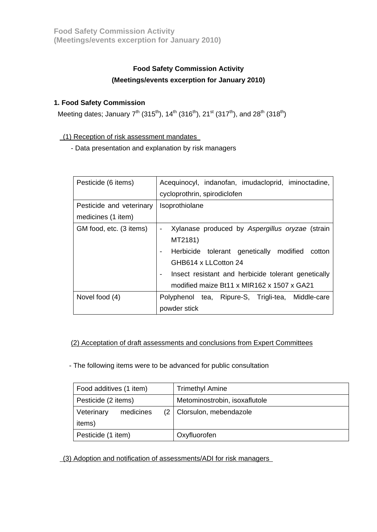# **Food Safety Commission Activity (Meetings/events excerption for January 2010)**

# **1. Food Safety Commission**

Meeting dates; January  $7^{th}$  (315<sup>th</sup>), 14<sup>th</sup> (316<sup>th</sup>), 21<sup>st</sup> (317<sup>th</sup>), and 28<sup>th</sup> (318<sup>th</sup>)

(1) Reception of risk assessment mandates

- Data presentation and explanation by risk managers

| Pesticide (6 items)      | Acequinocyl, indanofan, imudacloprid, iminoctadine, |
|--------------------------|-----------------------------------------------------|
|                          | cycloprothrin, spirodiclofen                        |
| Pesticide and veterinary | Isoprothiolane                                      |
| medicines (1 item)       |                                                     |
| GM food, etc. (3 items)  | Xylanase produced by Aspergillus oryzae (strain     |
|                          | MT2181)                                             |
|                          | Herbicide tolerant genetically modified<br>cotton   |
|                          | GHB614 x LLCotton 24                                |
|                          | Insect resistant and herbicide tolerant genetically |
|                          | modified maize Bt11 x MIR162 x 1507 x GA21          |
| Novel food (4)           | Polyphenol tea, Ripure-S, Trigli-tea, Middle-care   |
|                          | powder stick                                        |

#### (2) Acceptation of draft assessments and conclusions from Expert Committees

- The following items were to be advanced for public consultation

| Food additives (1 item) | <b>Trimethyl Amine</b>        |
|-------------------------|-------------------------------|
| Pesticide (2 items)     | Metominostrobin, isoxaflutole |
| Veterinary<br>medicines | (2   Clorsulon, mebendazole   |
| items)                  |                               |
| Pesticide (1 item)      | Oxyfluorofen                  |

(3) Adoption and notification of assessments/ADI for risk managers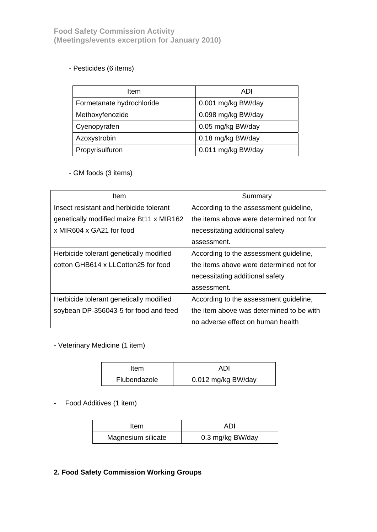# - Pesticides (6 items)

| Item                      | ADI                |  |
|---------------------------|--------------------|--|
| Formetanate hydrochloride | 0.001 mg/kg BW/day |  |
| Methoxyfenozide           | 0.098 mg/kg BW/day |  |
| Cyenopyrafen              | 0.05 mg/kg BW/day  |  |
| Azoxystrobin              | 0.18 mg/kg BW/day  |  |
| Propyrisulfuron           | 0.011 mg/kg BW/day |  |

#### - GM foods (3 items)

| Item                                     | Summary                                  |  |
|------------------------------------------|------------------------------------------|--|
| Insect resistant and herbicide tolerant  | According to the assessment guideline,   |  |
| genetically modified maize Bt11 x MIR162 | the items above were determined not for  |  |
| x MIR604 x GA21 for food                 | necessitating additional safety          |  |
|                                          | assessment.                              |  |
| Herbicide tolerant genetically modified  | According to the assessment guideline,   |  |
| cotton GHB614 x LLCotton25 for food      | the items above were determined not for  |  |
|                                          | necessitating additional safety          |  |
|                                          | assessment.                              |  |
| Herbicide tolerant genetically modified  | According to the assessment guideline,   |  |
| soybean DP-356043-5 for food and feed    | the item above was determined to be with |  |
|                                          | no adverse effect on human health        |  |

- Veterinary Medicine (1 item)

| Item         | ADI                |
|--------------|--------------------|
| Flubendazole | 0.012 mg/kg BW/day |

## - Food Additives (1 item)

| ltem               | ADI              |
|--------------------|------------------|
| Magnesium silicate | 0.3 mg/kg BW/day |

# **2. Food Safety Commission Working Groups**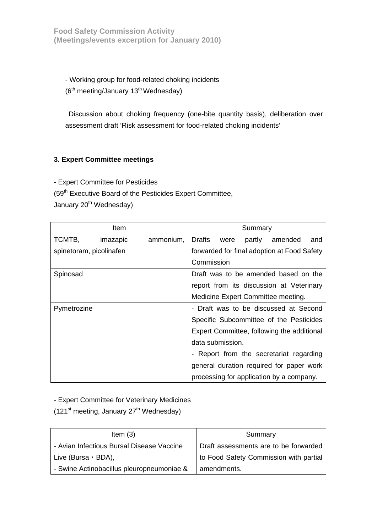**Food Safety Commission Activity (Meetings/events excerption for January 2010)** 

- Working group for food-related choking incidents  $(6<sup>th</sup> meeting/January 13<sup>th</sup> Wednesday)$ 

Discussion about choking frequency (one-bite quantity basis), deliberation over assessment draft 'Risk assessment for food-related choking incidents'

#### **3. Expert Committee meetings**

- Expert Committee for Pesticides

(59<sup>th</sup> Executive Board of the Pesticides Expert Committee,

January 20<sup>th</sup> Wednesday)

|                         | Item     |           |                  |      | Summary |                                             |     |
|-------------------------|----------|-----------|------------------|------|---------|---------------------------------------------|-----|
| TCMTB,                  | imazapic | ammonium, | <b>Drafts</b>    | were | partly  | amended                                     | and |
| spinetoram, picolinafen |          |           |                  |      |         | forwarded for final adoption at Food Safety |     |
|                         |          |           | Commission       |      |         |                                             |     |
| Spinosad                |          |           |                  |      |         | Draft was to be amended based on the        |     |
|                         |          |           |                  |      |         | report from its discussion at Veterinary    |     |
|                         |          |           |                  |      |         | Medicine Expert Committee meeting.          |     |
| Pymetrozine             |          |           |                  |      |         | - Draft was to be discussed at Second       |     |
|                         |          |           |                  |      |         | Specific Subcommittee of the Pesticides     |     |
|                         |          |           |                  |      |         | Expert Committee, following the additional  |     |
|                         |          |           | data submission. |      |         |                                             |     |
|                         |          |           |                  |      |         | - Report from the secretariat regarding     |     |
|                         |          |           |                  |      |         | general duration required for paper work    |     |
|                         |          |           |                  |      |         | processing for application by a company.    |     |

- Expert Committee for Veterinary Medicines

(121<sup>st</sup> meeting, January  $27<sup>th</sup>$  Wednesday)

| Item $(3)$                                | Summary                                |  |
|-------------------------------------------|----------------------------------------|--|
| - Avian Infectious Bursal Disease Vaccine | Draft assessments are to be forwarded  |  |
| Live (Bursa $\cdot$ BDA),                 | to Food Safety Commission with partial |  |
| - Swine Actinobacillus pleuropneumoniae & | amendments.                            |  |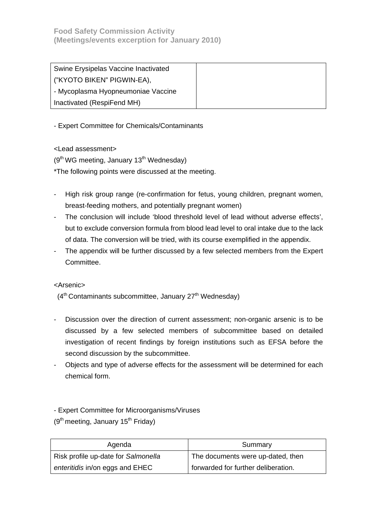| Swine Erysipelas Vaccine Inactivated |  |
|--------------------------------------|--|
| ("KYOTO BIKEN" PIGWIN-EA),           |  |
| - Mycoplasma Hyopneumoniae Vaccine   |  |
| Inactivated (RespiFend MH)           |  |

- Expert Committee for Chemicals/Contaminants

<Lead assessment>

 $(9<sup>th</sup> WG meeting, January 13<sup>th</sup> Wednesday)$ 

\*The following points were discussed at the meeting.

- High risk group range (re-confirmation for fetus, young children, pregnant women, breast-feeding mothers, and potentially pregnant women)
- The conclusion will include 'blood threshold level of lead without adverse effects', but to exclude conversion formula from blood lead level to oral intake due to the lack of data. The conversion will be tried, with its course exemplified in the appendix.
- The appendix will be further discussed by a few selected members from the Expert Committee.

<Arsenic>

 $(4<sup>th</sup> Contaminants subcommittee, January 27<sup>th</sup> Wednesday)$ 

- Discussion over the direction of current assessment; non-organic arsenic is to be discussed by a few selected members of subcommittee based on detailed investigation of recent findings by foreign institutions such as EFSA before the second discussion by the subcommittee.
- Objects and type of adverse effects for the assessment will be determined for each chemical form.

- Expert Committee for Microorganisms/Viruses

 $(9<sup>th</sup> meeting, January 15<sup>th</sup> Friday)$ 

| Agenda                              | Summary                             |  |
|-------------------------------------|-------------------------------------|--|
| Risk profile up-date for Salmonella | The documents were up-dated, then   |  |
| enteritidis in/on eggs and EHEC     | forwarded for further deliberation. |  |